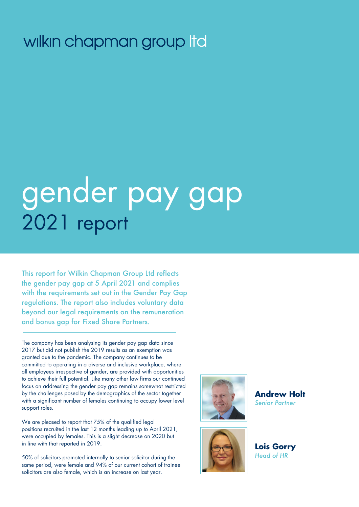## wilkin chapman group Itd

# gender pay gap 2021 report

This report for Wilkin Chapman Group Ltd reflects the gender pay gap at 5 April 2021 and complies with the requirements set out in the Gender Pay Gap regulations. The report also includes voluntary data beyond our legal requirements on the remuneration and bonus gap for Fixed Share Partners.

The company has been analysing its gender pay gap data since 2017 but did not publish the 2019 results as an exemption was granted due to the pandemic. The company continues to be committed to operating in a diverse and inclusive workplace, where all employees irrespective of gender, are provided with opportunities to achieve their full potential. Like many other law firms our continued focus on addressing the gender pay gap remains somewhat restricted by the challenges posed by the demographics of the sector together with a significant number of females continuing to occupy lower level support roles.

We are pleased to report that 75% of the qualified legal positions recruited in the last 12 months leading up to April 2021, were occupied by females. This is a slight decrease on 2020 but in line with that reported in 2019.

50% of solicitors promoted internally to senior solicitor during the same period, were female and 94% of our current cohort of trainee solicitors are also female, which is an increase on last year.



**Andrew Holt**  *Senior Partner*



**Lois Gorry** *Head of HR*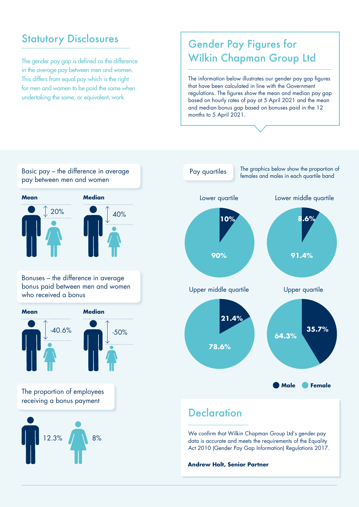## **Statutory Disclosures**

The gender pay gap is defined as the difference in the average pay between men and women. This differs from equal pay which is the right for men and women to be paid the same when undertaking the same, or equivalent, work.

## Gender Pay Figures for Wilkin Chapman Group Ltd

The information below illustrates our gender pay gap figures that have been calculated in line with the Government regulations. The figures show the mean and median pay gap based on hourly rates of pay at 5 April 2021 and the mean and median bonus gap based on bonuses paid in the 12 months to 5 April 2021.





data is accurate and meets the requirements of the Equality Act 2010 (Gender Pay Gap Information) Regulations 2017.

**Andrew Holt, Senior Partner**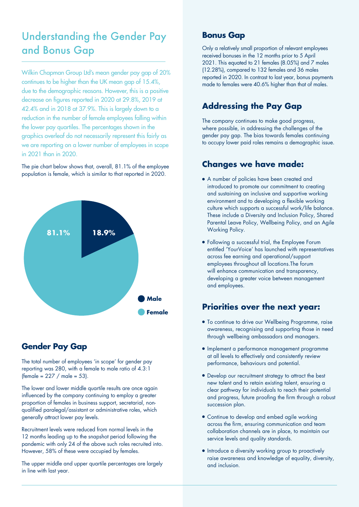## Understanding the Gender Pay and Bonus Gap

Wilkin Chapman Group Ltd's mean gender pay gap of 20% continues to be higher than the UK mean gap of 15.4%, due to the demographic reasons. However, this is a positive decrease on figures reported in 2020 at 29.8%, 2019 at 42.4% and in 2018 at 37.9%. This is largely down to a reduction in the number of female employees falling within the lower pay quartiles. The percentages shown in the graphics overleaf do not necessarily represent this fairly as we are reporting on a lower number of employees in scope in 2021 than in 2020.

The pie chart below shows that, overall, 81.1% of the employee population is female, which is similar to that reported in 2020.



#### **Gender Pay Gap**

The total number of employees 'in scope' for gender pay reporting was 280, with a female to male ratio of 4.3:1 (female =  $227 /$  male =  $53$ ).

The lower and lower middle quartile results are once again influenced by the company continuing to employ a greater proportion of females in business support, secretarial, nonqualified paralegal/assistant or administrative roles, which generally attract lower pay levels.

Recruitment levels were reduced from normal levels in the 12 months leading up to the snapshot period following the pandemic with only 24 of the above such roles recruited into. However, 58% of these were occupied by females.

The upper middle and upper quartile percentages are largely in line with last year.

#### **Bonus Gap**

Only a relatively small proportion of relevant employees received bonuses in the 12 months prior to 5 April 2021. This equated to 21 females (8.05%) and 7 males (12.28%), compared to 132 females and 36 males reported in 2020. In contrast to last year, bonus payments made to females were 40.6% higher than that of males.

#### **Addressing the Pay Gap**

The company continues to make good progress, where possible, in addressing the challenges of the gender pay gap. The bias towards females continuing to occupy lower paid roles remains a demographic issue.

#### **Changes we have made:**

- A number of policies have been created and introduced to promote our commitment to creating and sustaining an inclusive and supportive working environment and to developing a flexible working culture which supports a successful work/life balance. These include a Diversity and Inclusion Policy, Shared Parental Leave Policy, Wellbeing Policy, and an Agile Working Policy.
- Following a successful trial, the Employee Forum entitled 'YourVoice' has launched with representatives across fee earning and operational/support employees throughout all locations.The forum will enhance communication and transparency, developing a greater voice between management and employees.

#### **Priorities over the next year:**

- To continue to drive our Wellbeing Programme, raise awareness, recognising and supporting those in need through wellbeing ambassadors and managers.
- Implement a performance management programme at all levels to effectively and consistently review performance, behaviours and potential.
- Develop our recruitment strategy to attract the best new talent and to retain existing talent, ensuring a clear pathway for individuals to reach their potential and progress, future proofing the firm through a robust succession plan.
- Continue to develop and embed agile working across the firm, ensuring communication and team collaboration channels are in place, to maintain our service levels and quality standards.
- $\bullet$  Introduce a diversity working group to proactively raise awareness and knowledge of equality, diversity, and inclusion.